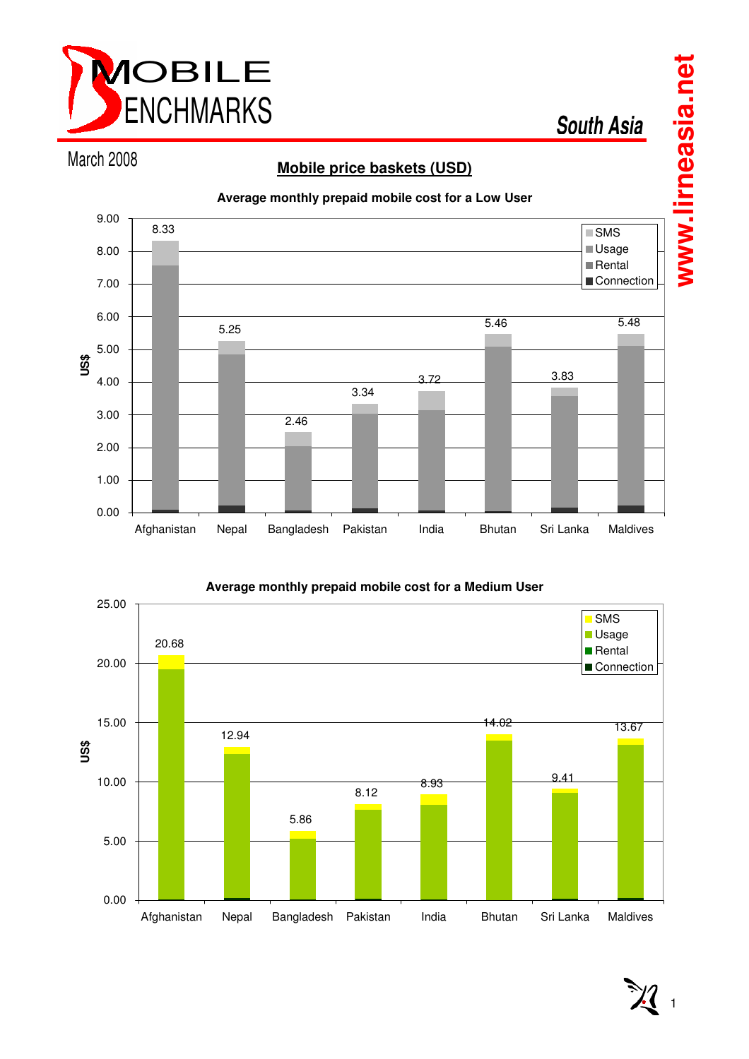

**South Asia**

# March 2008

# **Mobile price baskets (USD)**





# **Average monthly prepaid mobile cost for a Low User**

 $\overline{1}$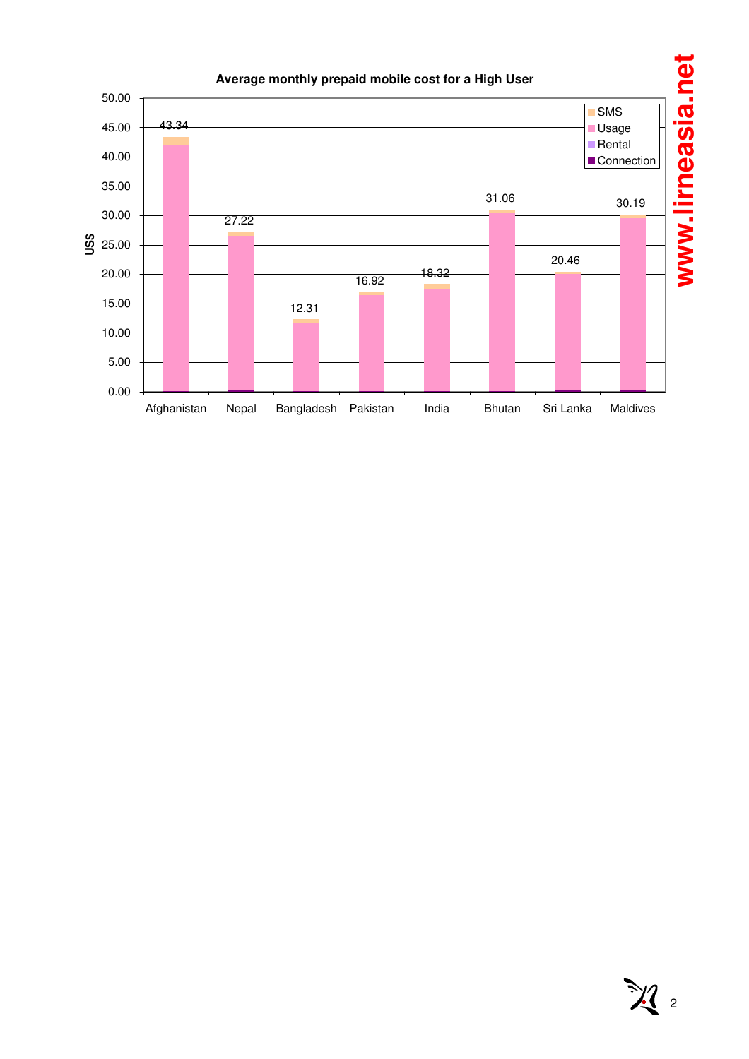

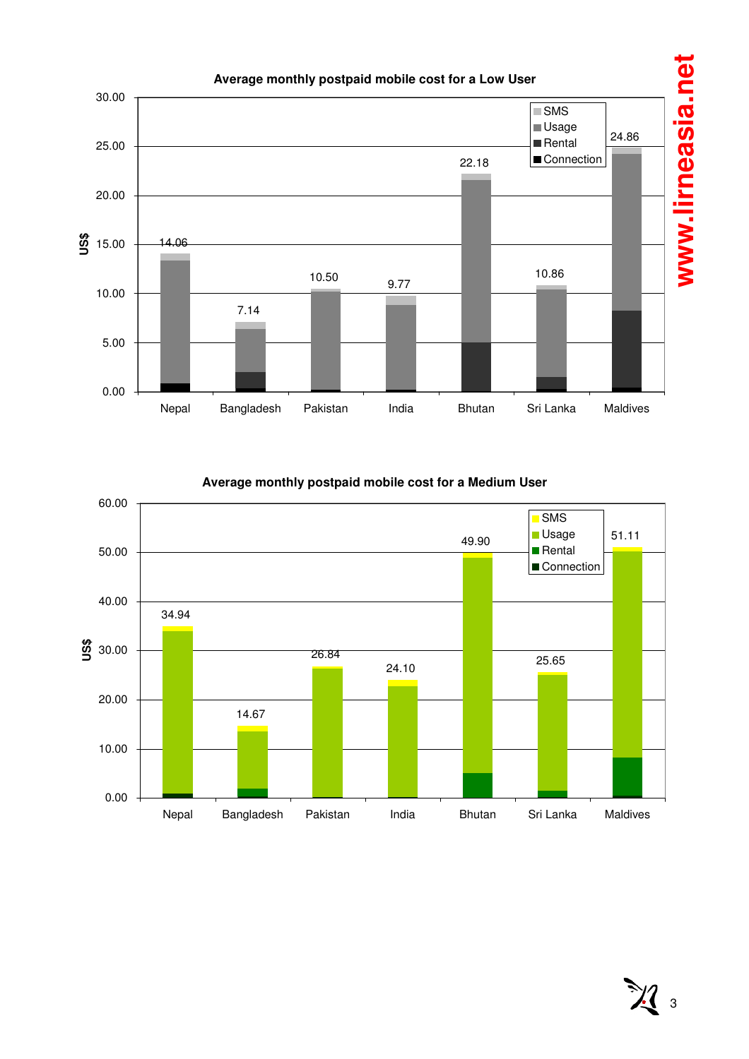

**Average monthly postpaid mobile cost for a Medium User**



 $\mathcal{X}_3$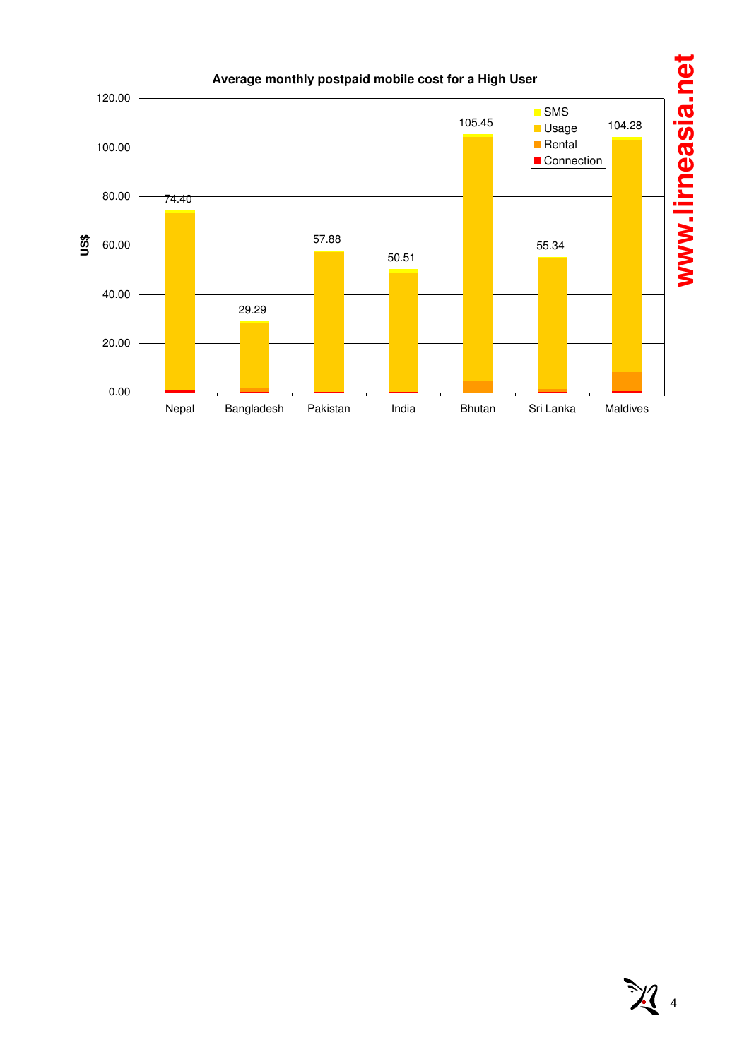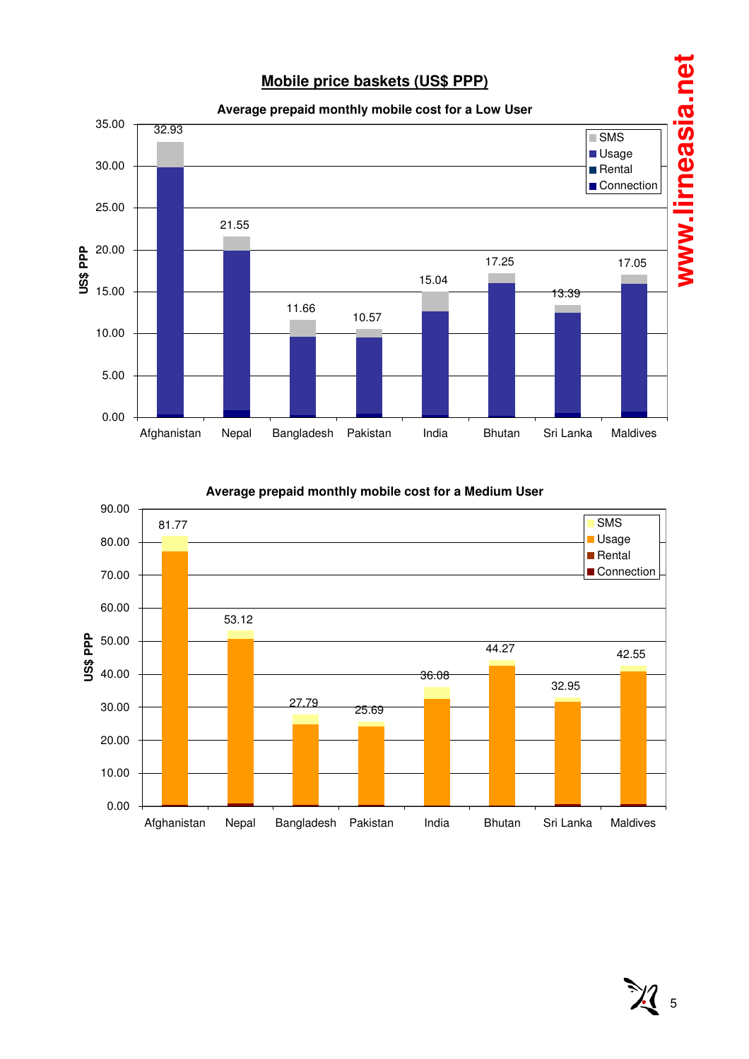# **Mobile price baskets (US\$ PPP)**





**Average prepaid monthly mobile cost for a Medium User**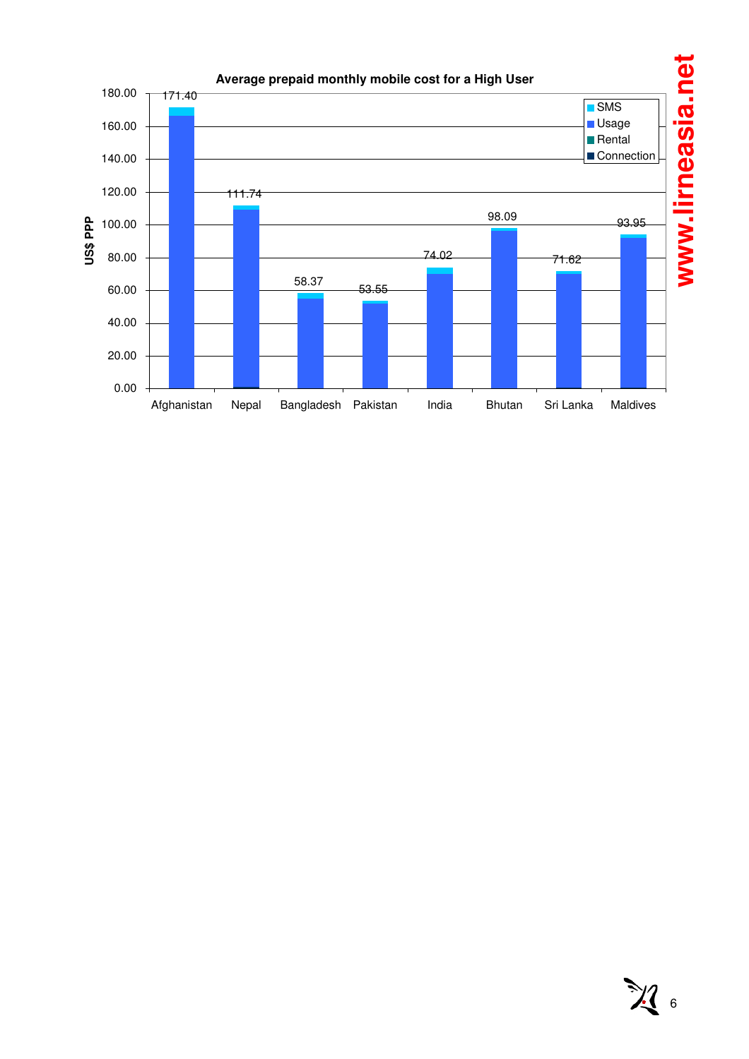

# $\mathcal{H}_{6}$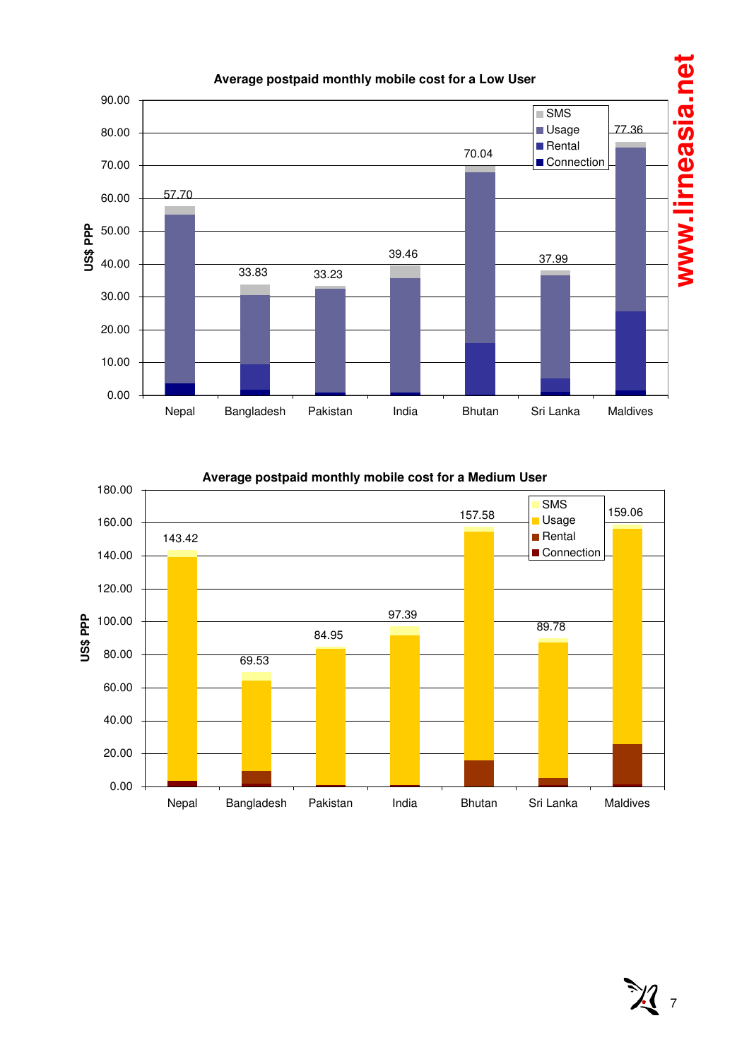

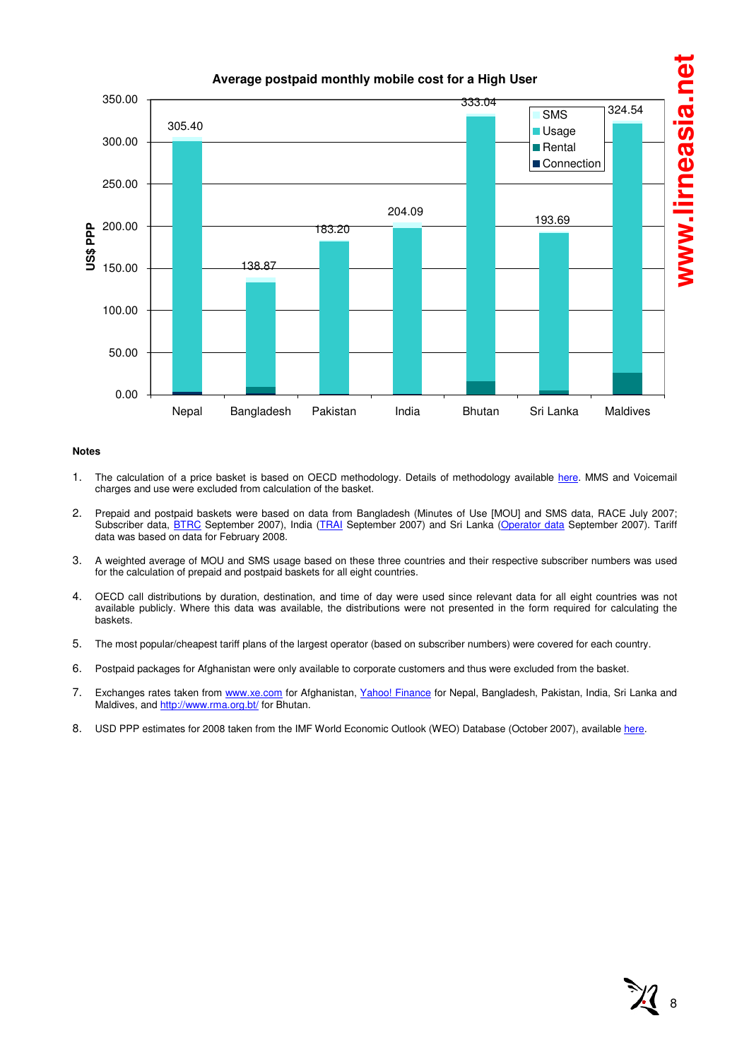

#### **Notes**

- 1. The calculation of a price basket is based on OECD methodology. Details of methodology available here. MMS and Voicemail charges and use were excluded from calculation of the basket.
- 2. Prepaid and postpaid baskets were based on data from Bangladesh (Minutes of Use [MOU] and SMS data, RACE July 2007; Subscriber data, BTRC September 2007), India (TRAI September 2007) and Sri Lanka (Operator data September 2007). Tariff data was based on data for February 2008.
- 3. A weighted average of MOU and SMS usage based on these three countries and their respective subscriber numbers was used for the calculation of prepaid and postpaid baskets for all eight countries.
- 4. OECD call distributions by duration, destination, and time of day were used since relevant data for all eight countries was not available publicly. Where this data was available, the distributions were not presented in the form required for calculating the baskets.
- 5. The most popular/cheapest tariff plans of the largest operator (based on subscriber numbers) were covered for each country.
- 6. Postpaid packages for Afghanistan were only available to corporate customers and thus were excluded from the basket.
- 7. Exchanges rates taken from www.xe.com for Afghanistan, Yahoo! Finance for Nepal, Bangladesh, Pakistan, India, Sri Lanka and Maldives, and http://www.rma.org.bt/ for Bhutan.
- 8. USD PPP estimates for 2008 taken from the IMF World Economic Outlook (WEO) Database (October 2007), available here.

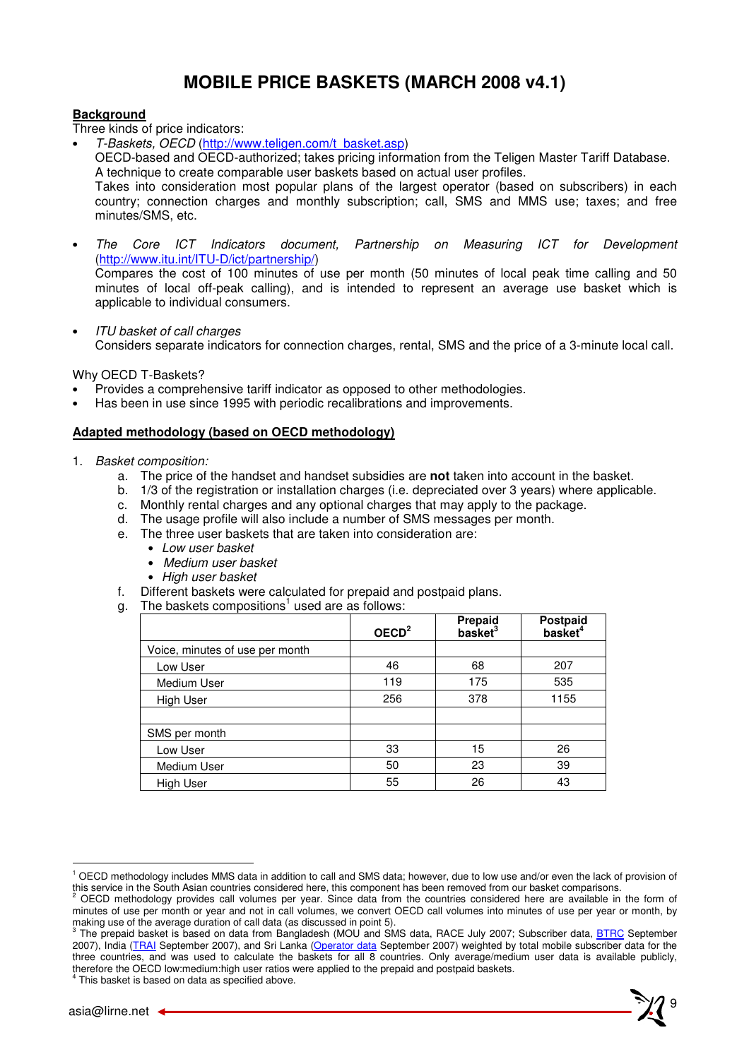# **MOBILE PRICE BASKETS (MARCH 2008 v4.1)**

### **Background**

Three kinds of price indicators:

• T-Baskets, OECD (http://www.teligen.com/t\_basket.asp)

OECD-based and OECD-authorized; takes pricing information from the Teligen Master Tariff Database. A technique to create comparable user baskets based on actual user profiles.

Takes into consideration most popular plans of the largest operator (based on subscribers) in each country; connection charges and monthly subscription; call, SMS and MMS use; taxes; and free minutes/SMS, etc.

• The Core ICT Indicators document, Partnership on Measuring ICT for Development (http://www.itu.int/ITU-D/ict/partnership/)

Compares the cost of 100 minutes of use per month (50 minutes of local peak time calling and 50 minutes of local off-peak calling), and is intended to represent an average use basket which is applicable to individual consumers.

• ITU basket of call charges Considers separate indicators for connection charges, rental, SMS and the price of a 3-minute local call.

Why OECD T-Baskets?

- Provides a comprehensive tariff indicator as opposed to other methodologies.
- Has been in use since 1995 with periodic recalibrations and improvements.

#### **Adapted methodology (based on OECD methodology)**

- 1. Basket composition:
	- a. The price of the handset and handset subsidies are **not** taken into account in the basket.
	- b. 1/3 of the registration or installation charges (i.e. depreciated over 3 years) where applicable.
	- c. Monthly rental charges and any optional charges that may apply to the package.
	- d. The usage profile will also include a number of SMS messages per month.
	- e. The three user baskets that are taken into consideration are:
		- Low user basket
		- Medium user basket
		- High user basket
	- f. Different baskets were calculated for prepaid and postpaid plans.
	- g. The baskets compositions<sup>1</sup> used are as follows:

|                                 | OECD <sup>2</sup> | Prepaid<br>basket <sup>3</sup> | <b>Postpaid</b><br>basket <sup>4</sup> |
|---------------------------------|-------------------|--------------------------------|----------------------------------------|
| Voice, minutes of use per month |                   |                                |                                        |
| Low User                        | 46                | 68                             | 207                                    |
| Medium User                     | 119               | 175                            | 535                                    |
| <b>High User</b>                | 256               | 378                            | 1155                                   |
|                                 |                   |                                |                                        |
| SMS per month                   |                   |                                |                                        |
| Low User                        | 33                | 15                             | 26                                     |
| Medium User                     | 50                | 23                             | 39                                     |
| High User                       | 55                | 26                             | 43                                     |

 $\overline{a}$ 

<sup>&</sup>lt;sup>1</sup> OECD methodology includes MMS data in addition to call and SMS data; however, due to low use and/or even the lack of provision of this service in the South Asian countries considered here, this component has been removed from our basket comparisons.<br><sup>2</sup> OECD methodology provides call volumes not veer. Since data from the countries considered here are

OECD methodology provides call volumes per year. Since data from the countries considered here are available in the form of minutes of use per month or year and not in call volumes, we convert OECD call volumes into minutes of use per year or month, by

making use of the average duration of call data (as discussed in point 5).<br><sup>3</sup> The prepaid basket is based on data from Bangladesh (MOU and SMS data, RACE July 2007; Subscriber data, <u>BTRC</u> September 2007), India (TRAI September 2007), and Sri Lanka (Operator data September 2007) weighted by total mobile subscriber data for the three countries, and was used to calculate the baskets for all 8 countries. Only average/medium user data is available publicly, therefore the OECD low:medium:high user ratios were applied to the prepaid and postpaid baskets. 4 This basket is based on data as specified above.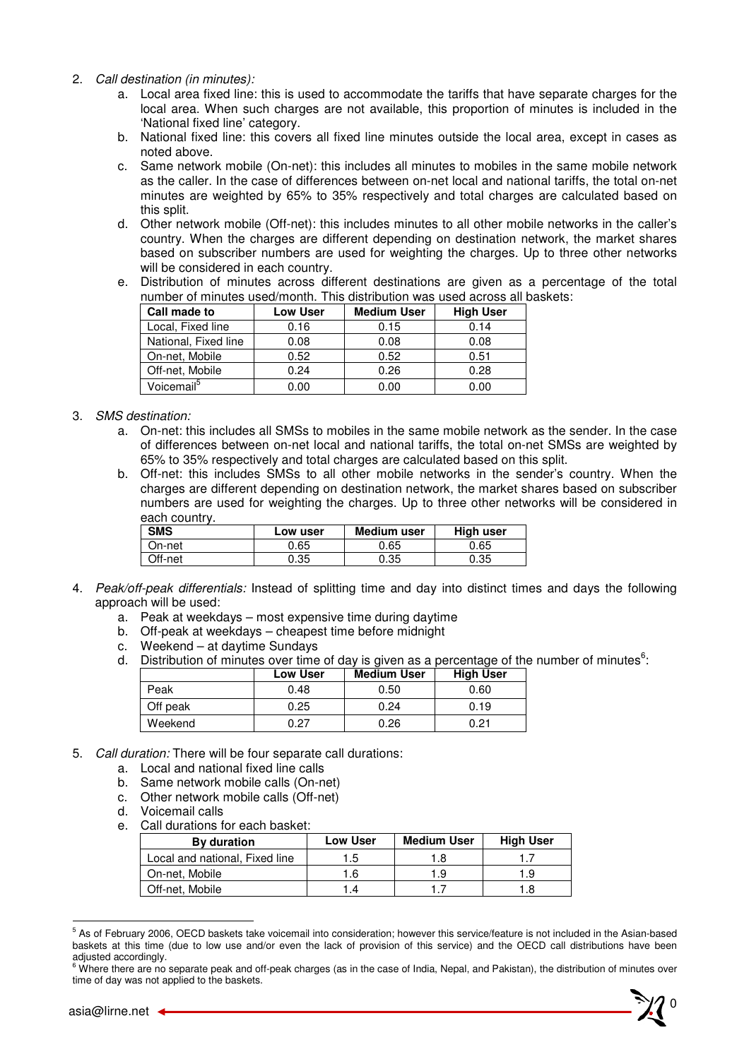- 2. Call destination (in minutes):
	- a. Local area fixed line: this is used to accommodate the tariffs that have separate charges for the local area. When such charges are not available, this proportion of minutes is included in the 'National fixed line' category.
	- b. National fixed line: this covers all fixed line minutes outside the local area, except in cases as noted above.
	- c. Same network mobile (On-net): this includes all minutes to mobiles in the same mobile network as the caller. In the case of differences between on-net local and national tariffs, the total on-net minutes are weighted by 65% to 35% respectively and total charges are calculated based on this split.
	- d. Other network mobile (Off-net): this includes minutes to all other mobile networks in the caller's country. When the charges are different depending on destination network, the market shares based on subscriber numbers are used for weighting the charges. Up to three other networks will be considered in each country.
	- e. Distribution of minutes across different destinations are given as a percentage of the total number of minutes used/month. This distribution was used across all baskets:

| Call made to           | Low User | <b>Medium User</b> | <b>High User</b> |
|------------------------|----------|--------------------|------------------|
| Local, Fixed line      | 0.16     | 0.15               | 0.14             |
| National, Fixed line   | 0.08     | 0.08               | 0.08             |
| On-net, Mobile         | 0.52     | 0.52               | 0.51             |
| Off-net, Mobile        | 0.24     | 0.26               | 0.28             |
| Voicemail <sup>5</sup> | 0.00     | 0.00               | 0.00             |

#### 3. SMS destination:

- a. On-net: this includes all SMSs to mobiles in the same mobile network as the sender. In the case of differences between on-net local and national tariffs, the total on-net SMSs are weighted by 65% to 35% respectively and total charges are calculated based on this split.
- b. Off-net: this includes SMSs to all other mobile networks in the sender's country. When the charges are different depending on destination network, the market shares based on subscriber numbers are used for weighting the charges. Up to three other networks will be considered in each country.

| <b>SMS</b> | Low user | <b>Medium user</b> | High user |  |  |
|------------|----------|--------------------|-----------|--|--|
| On-net     | 0.65     | 0.65               | 0.65      |  |  |
| Off-net    | 0.35     | 0.35               | 0.35      |  |  |

- 4. Peak/off-peak differentials: Instead of splitting time and day into distinct times and days the following approach will be used:
	- a. Peak at weekdays most expensive time during daytime
	- b. Off-peak at weekdays cheapest time before midnight
	- c. Weekend at daytime Sundays
	- d. Distribution of minutes over time of day is given as a percentage of the number of minutes $6$ :

|          | <b>Low User</b> | <b>Medium User</b> | <b>High User</b> |
|----------|-----------------|--------------------|------------------|
| Peak     | 0.48            | 0.50               | 0.60             |
| Off peak | 0.25            | 0.24               | 0.19             |
| Weekend  | 0.27            | 0.26               | 0.21             |

- 5. Call duration: There will be four separate call durations:
	- a. Local and national fixed line calls
	- b. Same network mobile calls (On-net)
	- c. Other network mobile calls (Off-net)
	- d. Voicemail calls
	- e. Call durations for each basket:

| By duration                    | <b>Low User</b> | <b>Medium User</b> | <b>High User</b> |
|--------------------------------|-----------------|--------------------|------------------|
| Local and national, Fixed line | 1.5             | .8                 |                  |
| On-net, Mobile                 | 1.6             | .9                 | 1.9              |
| Off-net, Mobile                |                 |                    | 1.8              |

<sup>&</sup>lt;sup>5</sup> As of February 2006, OECD baskets take voicemail into consideration; however this service/feature is not included in the Asian-based baskets at this time (due to low use and/or even the lack of provision of this service) and the OECD call distributions have been

 $\overline{a}$ 

adjusted accordingly.<br><sup>6</sup> Where there are no separate peak and off-peak charges (as in the case of India, Nepal, and Pakistan), the distribution of minutes over time of day was not applied to the baskets.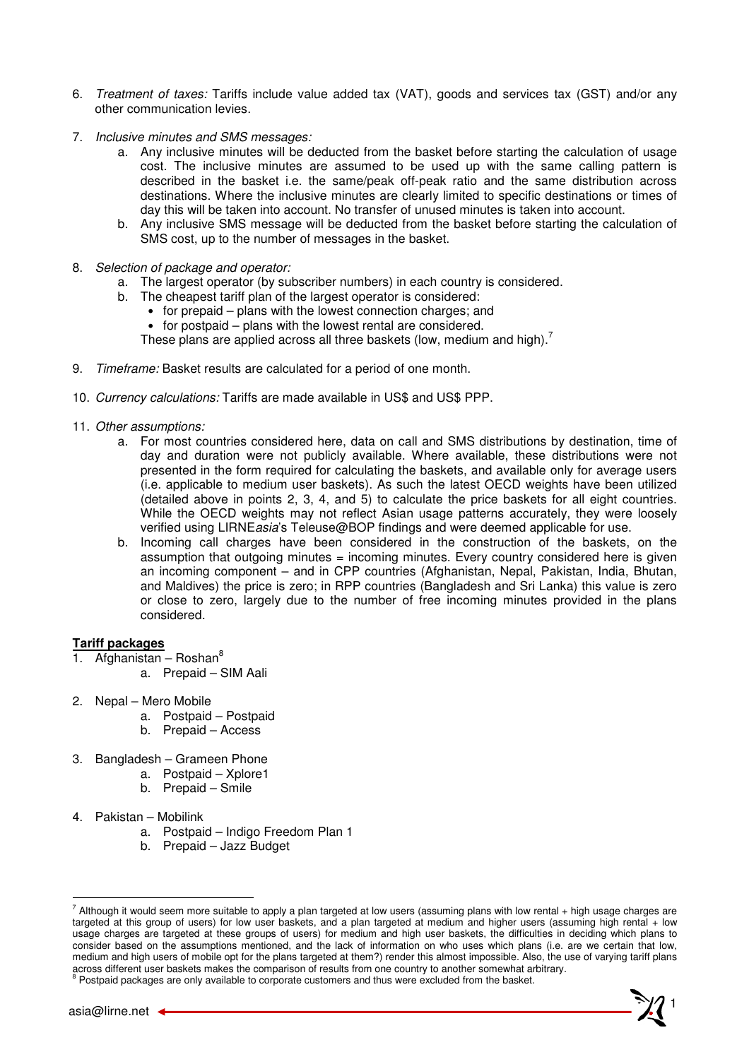- 6. Treatment of taxes: Tariffs include value added tax (VAT), goods and services tax (GST) and/or any other communication levies.
- 7. Inclusive minutes and SMS messages:
	- a. Any inclusive minutes will be deducted from the basket before starting the calculation of usage cost. The inclusive minutes are assumed to be used up with the same calling pattern is described in the basket i.e. the same/peak off-peak ratio and the same distribution across destinations. Where the inclusive minutes are clearly limited to specific destinations or times of day this will be taken into account. No transfer of unused minutes is taken into account.
	- b. Any inclusive SMS message will be deducted from the basket before starting the calculation of SMS cost, up to the number of messages in the basket.
- 8. Selection of package and operator:
	- a. The largest operator (by subscriber numbers) in each country is considered.
	- b. The cheapest tariff plan of the largest operator is considered:
		- for prepaid plans with the lowest connection charges; and
		- for postpaid plans with the lowest rental are considered.

These plans are applied across all three baskets (low, medium and high).<sup>7</sup>

- 9. Timeframe: Basket results are calculated for a period of one month.
- 10. Currency calculations: Tariffs are made available in US\$ and US\$ PPP.
- 11. Other assumptions:
	- a. For most countries considered here, data on call and SMS distributions by destination, time of day and duration were not publicly available. Where available, these distributions were not presented in the form required for calculating the baskets, and available only for average users (i.e. applicable to medium user baskets). As such the latest OECD weights have been utilized (detailed above in points 2, 3, 4, and 5) to calculate the price baskets for all eight countries. While the OECD weights may not reflect Asian usage patterns accurately, they were loosely verified using LIRNEasia's Teleuse@BOP findings and were deemed applicable for use.
	- b. Incoming call charges have been considered in the construction of the baskets, on the assumption that outgoing minutes = incoming minutes. Every country considered here is given an incoming component – and in CPP countries (Afghanistan, Nepal, Pakistan, India, Bhutan, and Maldives) the price is zero; in RPP countries (Bangladesh and Sri Lanka) this value is zero or close to zero, largely due to the number of free incoming minutes provided in the plans considered.

#### **Tariff packages**

- Afghanistan Roshan<sup>8</sup>
	- a. Prepaid SIM Aali
- 2. Nepal Mero Mobile
	- a. Postpaid Postpaid
	- b. Prepaid Access
- 3. Bangladesh Grameen Phone
	- a. Postpaid Xplore1
	- b. Prepaid Smile
- 4. Pakistan Mobilink
	- a. Postpaid Indigo Freedom Plan 1
	- b. Prepaid Jazz Budget



 $\overline{a}$ 

 $^7$  Although it would seem more suitable to apply a plan targeted at low users (assuming plans with low rental + high usage charges are targeted at this group of users) for low user baskets, and a plan targeted at medium and higher users (assuming high rental + low usage charges are targeted at these groups of users) for medium and high user baskets, the difficulties in deciding which plans to consider based on the assumptions mentioned, and the lack of information on who uses which plans (i.e. are we certain that low, medium and high users of mobile opt for the plans targeted at them?) render this almost impossible. Also, the use of varying tariff plans across different user baskets makes the comparison of results from one country to another somewhat arbitrary.<br><sup>8</sup> Postpaid packages are only available to corporate customers and thus were excluded from the basket.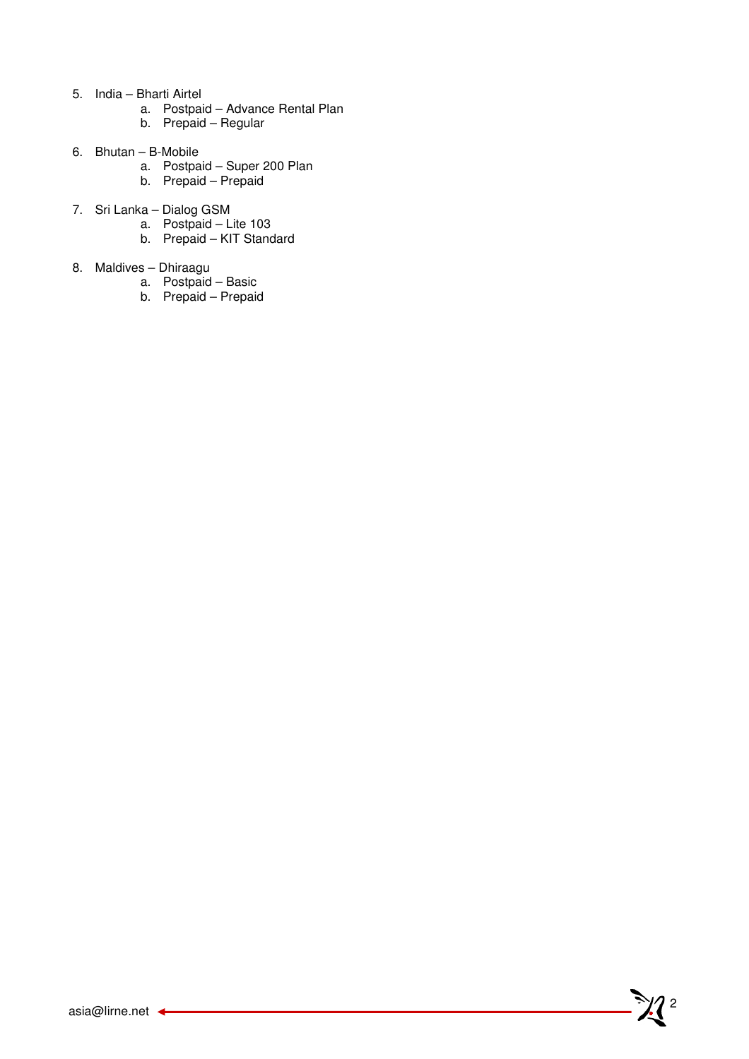- 5. India Bharti Airtel
	- a. Postpaid Advance Rental Plan
	- b. Prepaid Regular
- 6. Bhutan B-Mobile
	- a. Postpaid Super 200 Plan
	- b. Prepaid Prepaid
- 7. Sri Lanka Dialog GSM
	- a. Postpaid Lite 103
	- b. Prepaid KIT Standard
- 8. Maldives Dhiraagu
	- a. Postpaid Basic
	- b. Prepaid Prepaid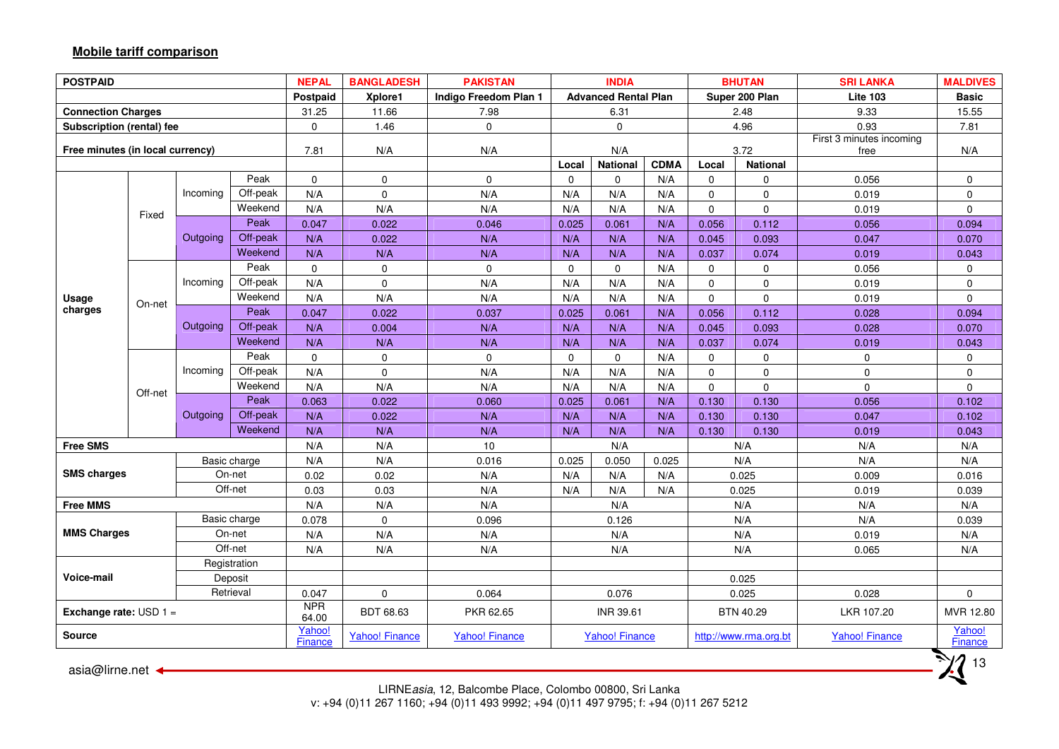## **Mobile tariff comparison**

| <b>POSTPAID</b>                  |                                                                           |           |                                                   | <b>NEPAL</b>             | <b>BANGLADESH</b> | <b>PAKISTAN</b>       | <b>INDIA</b><br><b>BHUTAN</b><br><b>SRI LANKA</b> |                             |       | <b>MALDIVES</b>                  |                                   |                       |                          |
|----------------------------------|---------------------------------------------------------------------------|-----------|---------------------------------------------------|--------------------------|-------------------|-----------------------|---------------------------------------------------|-----------------------------|-------|----------------------------------|-----------------------------------|-----------------------|--------------------------|
|                                  |                                                                           |           |                                                   | Postpaid                 | Xplore1           | Indigo Freedom Plan 1 |                                                   | <b>Advanced Rental Plan</b> |       |                                  | Super 200 Plan<br><b>Lite 103</b> |                       | <b>Basic</b>             |
| <b>Connection Charges</b>        |                                                                           |           |                                                   | 31.25                    | 11.66             | 7.98                  |                                                   | 6.31                        |       |                                  | 2.48                              | 9.33                  | 15.55                    |
| Subscription (rental) fee        |                                                                           |           |                                                   | 0                        | 1.46              | $\pmb{0}$             |                                                   | $\pmb{0}$                   |       |                                  | 4.96                              | 0.93                  | 7.81                     |
| Free minutes (in local currency) |                                                                           | 7.81      | N/A                                               | N/A                      |                   | N/A                   |                                                   | 3.72                        |       | First 3 minutes incoming<br>free | N/A                               |                       |                          |
|                                  |                                                                           |           |                                                   |                          |                   | Local                 | <b>National</b>                                   | <b>CDMA</b>                 | Local | <b>National</b>                  |                                   |                       |                          |
|                                  |                                                                           |           | Peak<br>$\mathbf 0$<br>$\mathbf 0$<br>$\mathbf 0$ |                          | $\mathbf 0$       | $\mathbf 0$           | N/A                                               | $\mathbf 0$                 | 0     | 0.056                            | $\mathbf 0$                       |                       |                          |
|                                  |                                                                           | Incoming  | Off-peak                                          | N/A                      | $\Omega$          | N/A                   | N/A                                               | N/A                         | N/A   | $\pmb{0}$                        | 0                                 | 0.019                 | $\mathsf 0$              |
|                                  | Fixed                                                                     |           | Weekend                                           | N/A                      | N/A               | N/A                   |                                                   | N/A                         | N/A   | $\mathbf 0$                      | 0                                 | 0.019                 | $\mathbf{0}$             |
|                                  |                                                                           |           | Peak                                              | 0.047                    | 0.022             | 0.046                 | 0.025                                             | 0.061                       | N/A   | 0.056                            | 0.112                             | 0.056                 | 0.094                    |
|                                  | Off-peak<br>Outgoing<br>N/A<br>0.022<br>N/A                               |           | N/A                                               | N/A                      | N/A               | 0.045                 | 0.093                                             | 0.047                       | 0.070 |                                  |                                   |                       |                          |
|                                  |                                                                           |           | Weekend                                           | N/A                      | N/A               | N/A                   | N/A                                               | N/A                         | N/A   | 0.037                            | 0.074                             | 0.019                 | 0.043                    |
|                                  |                                                                           |           | Peak                                              | $\mathbf 0$              | $\mathbf 0$       | $\mathbf 0$           | $\mathbf 0$                                       | 0                           | N/A   | $\mathbf 0$                      | 0                                 | 0.056                 | $\mathbf 0$              |
|                                  |                                                                           | Incoming  | Off-peak                                          | N/A                      | $\Omega$          | N/A                   | N/A                                               | N/A                         | N/A   | $\pmb{0}$                        | 0                                 | 0.019                 | $\mathsf{O}\xspace$      |
| Usage                            | Weekend<br>N/A<br>N/A<br>N/A<br>On-net<br>Peak<br>0.047<br>0.022<br>0.037 |           |                                                   | N/A                      | N/A               | N/A                   | $\mathbf 0$                                       | 0                           | 0.019 | $\mathbf 0$                      |                                   |                       |                          |
| charges                          |                                                                           |           |                                                   |                          |                   | 0.025                 | 0.061                                             | N/A                         | 0.056 | 0.112                            | 0.028                             | 0.094                 |                          |
|                                  |                                                                           | Outgoing  | Off-peak                                          | N/A                      | 0.004             | N/A                   | N/A                                               | N/A                         | N/A   | 0.045                            | 0.093                             | 0.028                 | 0.070                    |
|                                  |                                                                           |           | Weekend                                           | N/A                      | N/A               | N/A                   | N/A                                               | N/A                         | N/A   | 0.037                            | 0.074                             | 0.019                 | 0.043                    |
|                                  |                                                                           |           | Peak                                              | $\mathbf 0$              | $\mathbf 0$       | $\pmb{0}$             | $\mathbf 0$                                       | $\mathsf 0$                 | N/A   | $\mathbf 0$                      | 0                                 | $\mathbf 0$           | 0                        |
|                                  |                                                                           | Incoming  | Off-peak                                          | N/A                      | $\mathbf 0$       | N/A                   | N/A                                               | N/A                         | N/A   | $\mathsf{O}\xspace$              | 0                                 | $\mathsf{O}$          | $\mathbf 0$              |
|                                  | Off-net                                                                   |           | Weekend                                           | N/A                      | N/A               | N/A                   | N/A                                               | N/A                         | N/A   | $\mathbf 0$                      | 0                                 | $\mathbf 0$           | $\mathbf 0$              |
|                                  |                                                                           |           | Peak                                              | 0.063                    | 0.022             | 0.060                 | 0.025                                             | 0.061                       | N/A   | 0.130                            | 0.130                             | 0.056                 | 0.102                    |
|                                  |                                                                           | Outgoing  | Off-peak                                          | N/A                      | 0.022             | N/A                   | N/A                                               | N/A                         | N/A   | 0.130                            | 0.130                             | 0.047                 | 0.102                    |
|                                  |                                                                           |           | Weekend                                           | N/A                      | N/A               | N/A                   | N/A                                               | N/A                         | N/A   | 0.130                            | 0.130                             | 0.019                 | 0.043                    |
| <b>Free SMS</b>                  |                                                                           |           |                                                   | N/A                      | N/A               | 10                    | N/A                                               |                             | N/A   | N/A                              | N/A                               |                       |                          |
|                                  |                                                                           |           | Basic charge                                      | N/A                      | N/A               | 0.016                 | 0.025<br>0.050<br>0.025                           |                             |       | N/A                              | N/A                               | N/A                   |                          |
| <b>SMS charges</b>               |                                                                           |           | On-net                                            | 0.02                     | 0.02              | N/A                   | N/A                                               | N/A                         | N/A   | 0.025                            |                                   | 0.009                 | 0.016                    |
|                                  |                                                                           |           | Off-net                                           | 0.03                     | 0.03              | N/A                   | N/A                                               | N/A                         | N/A   |                                  | 0.025                             | 0.019                 | 0.039                    |
| <b>Free MMS</b>                  |                                                                           |           |                                                   | N/A                      | N/A               | N/A                   |                                                   | N/A                         |       |                                  | N/A                               | N/A                   | N/A                      |
|                                  |                                                                           |           | Basic charge                                      | 0.078                    | $\mathbf 0$       | 0.096                 |                                                   | 0.126                       |       |                                  | N/A                               | N/A                   | 0.039                    |
| <b>MMS Charges</b>               |                                                                           |           | On-net                                            | N/A                      | N/A               | N/A                   |                                                   | N/A                         |       |                                  | N/A                               | 0.019                 | N/A                      |
|                                  |                                                                           |           | Off-net                                           | N/A                      | N/A               | N/A                   |                                                   | N/A                         |       |                                  | N/A                               | 0.065                 | N/A                      |
|                                  |                                                                           |           | Registration                                      |                          |                   |                       |                                                   |                             |       |                                  |                                   |                       |                          |
| Voice-mail                       |                                                                           |           | Deposit                                           |                          |                   |                       |                                                   |                             |       |                                  | 0.025                             |                       |                          |
|                                  |                                                                           | Retrieval |                                                   | 0.047                    | $\mathbf 0$       | 0.064                 |                                                   | 0.076                       |       |                                  | 0.025                             | 0.028                 | 0                        |
| Exchange rate: $USD 1 =$         |                                                                           |           |                                                   | <b>NPR</b><br>64.00      | BDT 68.63         | PKR 62.65             |                                                   | INR 39.61                   |       |                                  | BTN 40.29                         | LKR 107.20            | MVR 12.80                |
| <b>Source</b>                    |                                                                           |           |                                                   | Yahoo!<br><b>Finance</b> | Yahoo! Finance    | <b>Yahoo! Finance</b> |                                                   | <b>Yahoo! Finance</b>       |       |                                  | http://www.rma.org.bt             | <b>Yahoo! Finance</b> | Yahoo!<br><b>Finance</b> |
| asia@lirne.net ←                 |                                                                           |           |                                                   |                          |                   |                       |                                                   |                             |       |                                  |                                   |                       | 13                       |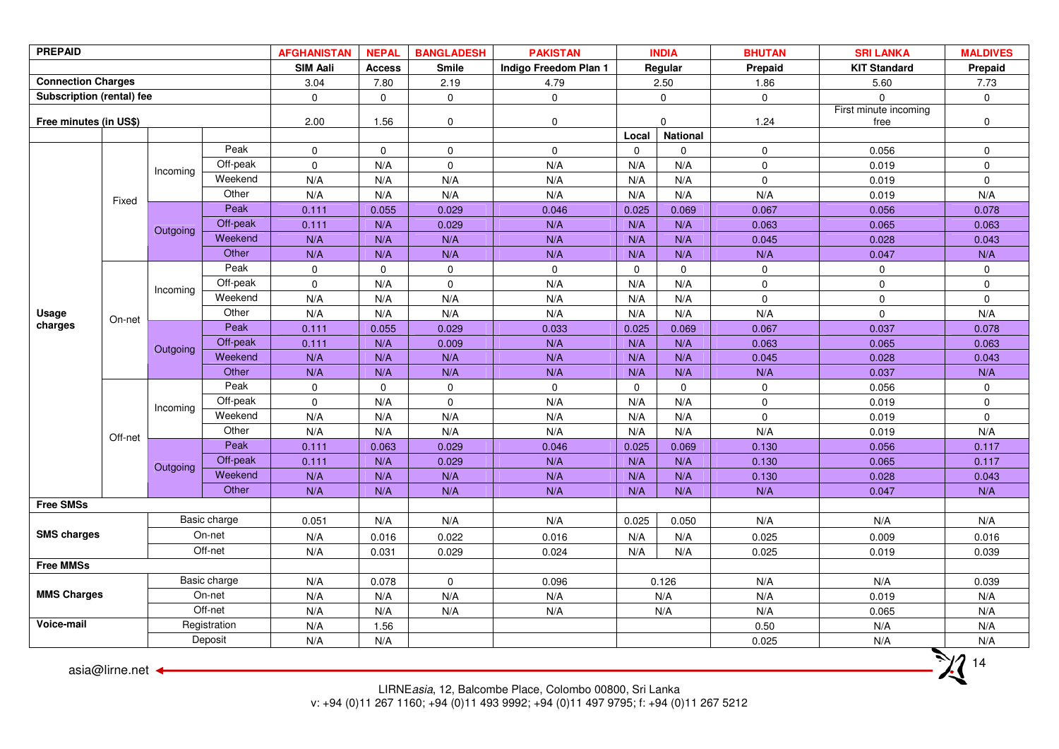| <b>PREPAID</b>            |                  | <b>AFGHANISTAN</b> | <b>NEPAL</b> | <b>BANGLADESH</b>   | <b>PAKISTAN</b> |              | <b>INDIA</b>          | <b>BHUTAN</b> | <b>SRI LANKA</b>      | <b>MALDIVES</b> |                     |              |
|---------------------------|------------------|--------------------|--------------|---------------------|-----------------|--------------|-----------------------|---------------|-----------------------|-----------------|---------------------|--------------|
|                           |                  |                    |              | <b>SIM Aali</b>     | <b>Access</b>   | <b>Smile</b> | Indigo Freedom Plan 1 |               | Regular               | Prepaid         | <b>KIT Standard</b> | Prepaid      |
| <b>Connection Charges</b> |                  |                    |              | 3.04                | 7.80            | 2.19         | 4.79                  |               | 2.50                  | 1.86            | 5.60                | 7.73         |
| Subscription (rental) fee |                  |                    |              | $\mathbf 0$         | $\mathbf 0$     | $\mathbf 0$  | $\mathbf 0$           |               | $\mathbf 0$           | $\mathbf 0$     | $\mathsf 0$         | $\mathbf 0$  |
|                           |                  |                    |              |                     |                 |              |                       |               | First minute incoming |                 |                     |              |
| Free minutes (in US\$)    |                  |                    |              | 2.00                | 1.56            | $\mathbf 0$  | $\mathbf 0$           |               | $\mathsf{O}$          | 1.24            | free                | 0            |
|                           |                  |                    |              |                     |                 |              |                       | Local         | National              |                 |                     |              |
|                           |                  |                    | Peak         | $\mathbf 0$         | $\mathsf 0$     | $\mathbf{0}$ | $\mathbf{0}$          | $\mathbf 0$   | $\mathbf 0$           | $\mathbf 0$     | 0.056               | $\mathbf 0$  |
|                           |                  | Incoming           | Off-peak     | $\mathbf 0$         | N/A             | $\mathbf 0$  | N/A                   | N/A           | N/A                   | $\mathbf 0$     | 0.019               | $\mathbf 0$  |
|                           |                  |                    | Weekend      | N/A                 | N/A             | N/A          | N/A                   | N/A           | N/A                   | $\mathbf 0$     | 0.019               | $\mathbf{0}$ |
|                           | Fixed            |                    | Other        | N/A                 | N/A             | N/A          | N/A                   | N/A           | N/A                   | N/A             | 0.019               | N/A          |
|                           |                  |                    | Peak         | 0.111               | 0.055           | 0.029        | 0.046                 | 0.025         | 0.069                 | 0.067           | 0.056               | 0.078        |
|                           |                  | Outgoing           | Off-peak     | 0.111               | N/A             | 0.029        | N/A                   | N/A           | N/A                   | 0.063           | 0.065               | 0.063        |
|                           |                  |                    | Weekend      | N/A                 | N/A             | N/A          | N/A                   | N/A           | N/A                   | 0.045           | 0.028               | 0.043        |
|                           |                  |                    | Other        | N/A                 | N/A             | N/A          | N/A                   | N/A           | N/A                   | N/A             | 0.047               | N/A          |
|                           |                  |                    | Peak         | $\mathsf{O}\xspace$ | $\mathbf 0$     | $\mathbf 0$  | $\mathbf 0$           | $\mathbf 0$   | $\Omega$              | $\mathbf 0$     | $\mathbf 0$         | $\mathbf 0$  |
|                           |                  | Incoming           | Off-peak     | $\mathbf 0$         | N/A             | $\mathbf 0$  | N/A                   | N/A           | N/A                   | $\mathbf 0$     | $\mathbf 0$         | $\mathbf 0$  |
|                           |                  |                    | Weekend      | N/A                 | N/A             | N/A          | N/A                   | N/A           | N/A                   | $\mathbf 0$     | $\pmb{0}$           | $\mathbf 0$  |
| <b>Usage</b>              | On-net           |                    | Other        | N/A                 | N/A             | N/A          | N/A                   | N/A           | N/A                   | N/A             | $\mathbf 0$         | N/A          |
| charges                   |                  | Outgoing           | Peak         | 0.111               | 0.055           | 0.029        | 0.033                 | 0.025         | 0.069                 | 0.067           | 0.037               | 0.078        |
|                           |                  |                    | Off-peak     | 0.111               | N/A             | 0.009        | N/A                   | N/A           | N/A                   | 0.063           | 0.065               | 0.063        |
|                           |                  |                    | Weekend      | N/A                 | N/A             | N/A          | N/A                   | N/A           | N/A                   | 0.045           | 0.028               | 0.043        |
|                           |                  |                    | Other        | N/A                 | N/A             | N/A          | N/A                   | N/A           | N/A                   | N/A             | 0.037               | N/A          |
|                           |                  |                    | Peak         | $\mathbf 0$         | $\mathbf 0$     | $\mathbf 0$  | $\mathbf 0$           | $\mathbf 0$   | $\mathbf 0$           | $\mathbf 0$     | 0.056               | 0            |
|                           |                  | Incoming           | Off-peak     | $\mathbf 0$         | N/A             | $\mathbf{0}$ | N/A                   | N/A           | N/A                   | $\mathbf 0$     | 0.019               | $\mathbf 0$  |
|                           |                  |                    | Weekend      | N/A                 | N/A             | N/A          | N/A                   | N/A           | N/A                   | $\mathsf 0$     | 0.019               | $\mathbf 0$  |
|                           | Off-net          |                    | Other        | N/A                 | N/A             | N/A          | N/A                   | N/A           | N/A                   | N/A             | 0.019               | N/A          |
|                           |                  |                    | Peak         | 0.111               | 0.063           | 0.029        | 0.046                 | 0.025         | 0.069                 | 0.130           | 0.056               | 0.117        |
|                           |                  | Outgoing           | Off-peak     | 0.111               | N/A             | 0.029        | N/A                   | N/A           | N/A                   | 0.130           | 0.065               | 0.117        |
|                           |                  |                    | Weekend      | N/A                 | N/A             | N/A          | N/A                   | N/A           | N/A                   | 0.130           | 0.028               | 0.043        |
|                           |                  |                    | Other        | N/A                 | N/A             | N/A          | N/A                   | N/A           | N/A                   | N/A             | 0.047               | N/A          |
| <b>Free SMSs</b>          |                  |                    |              |                     |                 |              |                       |               |                       |                 |                     |              |
|                           |                  |                    | Basic charge | 0.051               | N/A             | N/A          | N/A                   | 0.025         | 0.050                 | N/A             | N/A                 | N/A          |
| <b>SMS charges</b>        |                  |                    | On-net       | N/A                 | 0.016           | 0.022        | 0.016                 | N/A           | N/A                   | 0.025           | 0.009               | 0.016        |
|                           |                  |                    | Off-net      | N/A                 | 0.031           | 0.029        | 0.024                 | N/A           | N/A                   | 0.025           | 0.019               | 0.039        |
| <b>Free MMSs</b>          |                  |                    |              |                     |                 |              |                       |               |                       |                 |                     |              |
|                           |                  |                    | Basic charge | N/A                 | 0.078           | $\mathbf{0}$ | 0.096                 |               | 0.126                 | N/A             | N/A                 | 0.039        |
| <b>MMS Charges</b>        |                  |                    | On-net       | N/A                 | N/A             | N/A          | N/A                   |               | N/A                   | N/A             | 0.019               | N/A          |
|                           |                  |                    | Off-net      | N/A                 | N/A             | N/A          | N/A                   |               | N/A                   | N/A             | 0.065               | N/A          |
| Voice-mail                |                  |                    | Registration | N/A                 | 1.56            |              |                       |               |                       | 0.50            | N/A                 | N/A          |
|                           |                  |                    | Deposit      | N/A                 | N/A             |              |                       |               |                       | 0.025           | N/A                 | N/A          |
|                           | asia@lirne.net ← |                    |              |                     |                 |              |                       |               |                       |                 |                     | 14           |